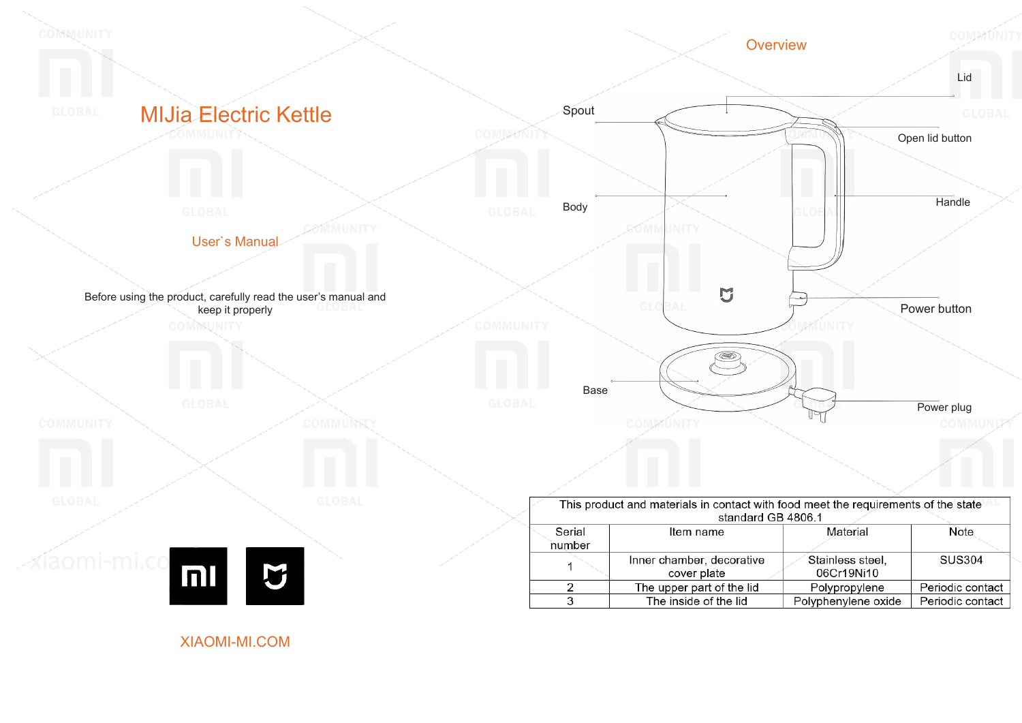

XIAOMI-MI.COM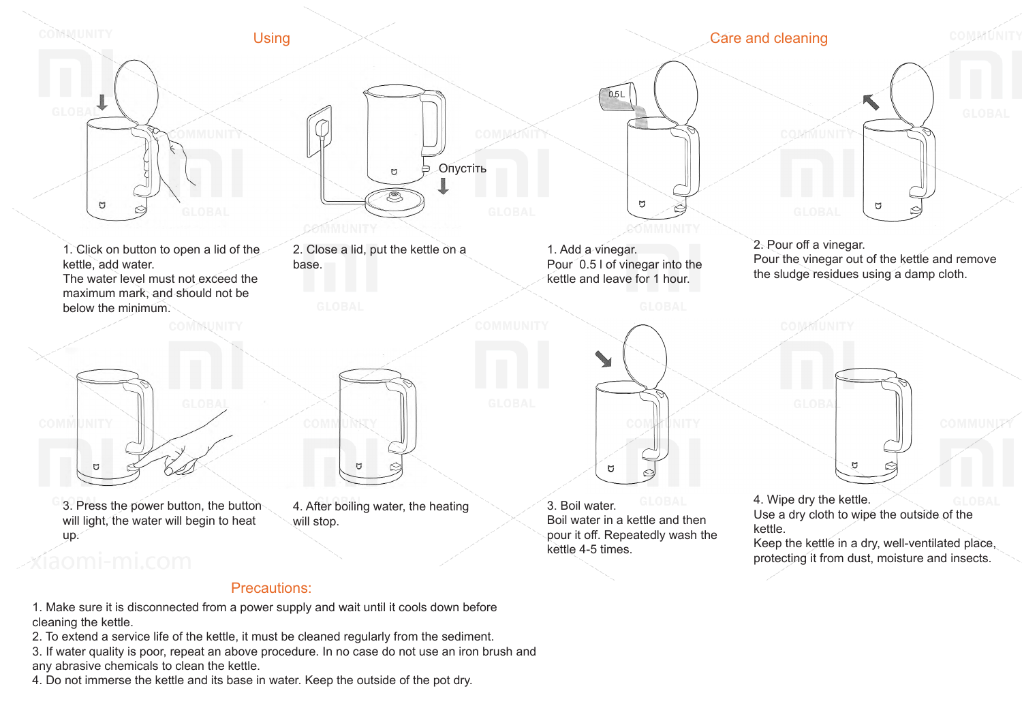

## Precautions:

- 1. Make sure it is disconnected from a power supply and wait until it cools down before cleaning the kettle.
- 2. To extend a service life of the kettle, it must be cleaned regularly from the sediment.
- 3. If water quality is poor, repeat an above procedure. In no case do not use an iron brush and any abrasive chemicals to clean the kettle.
- 4. Do not immerse the kettle and its base in water. Keep the outside of the pot dry.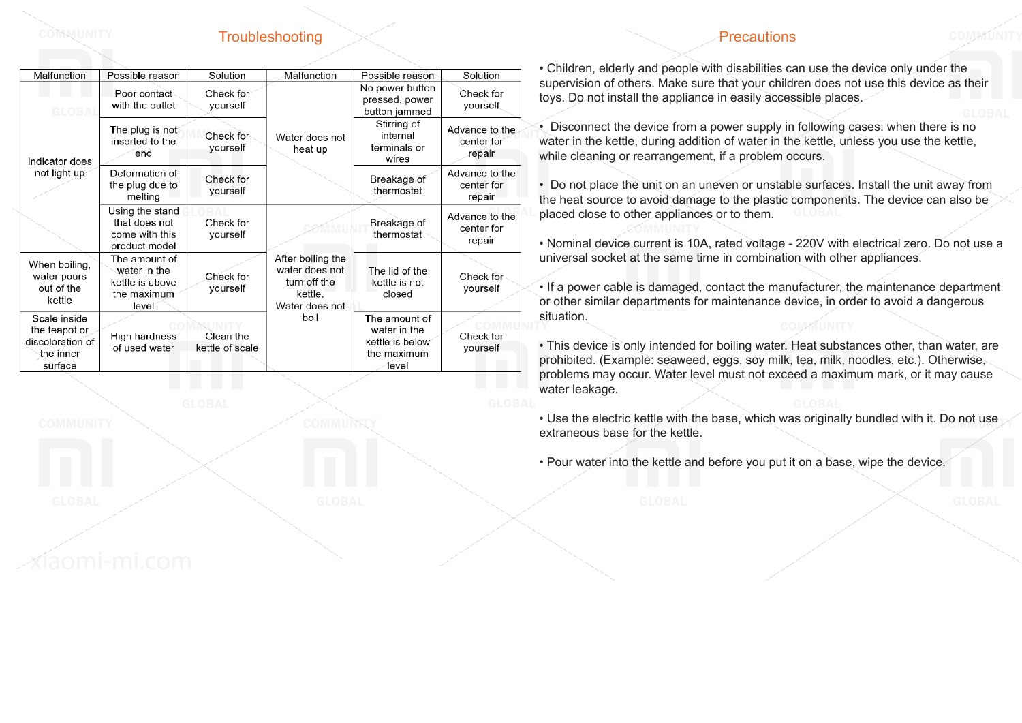## Troubleshooting

| <i>'</i> recaution |  |  |
|--------------------|--|--|
|                    |  |  |

| Malfunction                                                               | Possible reason                                                          | Solution                     | Malfunction                                                                      | Possible reason                                                          | Solution                               |
|---------------------------------------------------------------------------|--------------------------------------------------------------------------|------------------------------|----------------------------------------------------------------------------------|--------------------------------------------------------------------------|----------------------------------------|
| GLORAL                                                                    | Poor contact<br>with the outlet                                          | Check for<br>vourself        |                                                                                  | No power button<br>pressed, power<br>button jammed                       | Check for<br>yourself                  |
| Indicator does<br>not light up                                            | The plug is not<br>inserted to the<br>end                                | Check for<br>yourself        | Water does not<br>heat up                                                        | Stirring of<br>internal<br>terminals or<br>wires                         | Advance to the<br>center for<br>repair |
|                                                                           | Deformation of<br>the plug due to<br>melting                             | Check for<br>yourself        |                                                                                  | Breakage of<br>thermostat                                                | Advance to the<br>center for<br>repair |
|                                                                           | Using the stand<br>that does not<br>come with this<br>product model      | Check for<br>yourself        |                                                                                  | Breakage of<br>thermostat                                                | Advance to the<br>center for<br>repair |
| When boiling,<br>water pours<br>out of the<br>kettle                      | The amount of<br>water in the<br>kettle is above<br>the maximum<br>level | Check for<br>yourself        | After boiling the<br>water does not<br>turn off the<br>kettle.<br>Water does not | The lid of the<br>kettle is not<br>closed                                | Check for<br>yourself                  |
| Scale inside<br>the teapot or<br>discoloration of<br>the inner<br>surface | High hardness<br>of used water                                           | Clean the<br>kettle of scale | boil                                                                             | The amount of<br>water in the<br>kettle is below<br>the maximum<br>level | Check for<br>yourself                  |

COMMUNITY

• Children, elderly and people with disabilities can use the device only under the supervision of others. Make sure that your children does not use this device as their toys. Do not install the appliance in easily accessible places.

COMMÁÍNIT

• Disconnect the device from a power supply in following cases: when there is no water in the kettle, during addition of water in the kettle, unless you use the kettle, while cleaning or rearrangement, if a problem occurs.

• Do not place the unit on an uneven or unstable surfaces. Install the unit away from the heat source to avoid damage to the plastic components. The device can also be placed close to other appliances or to them.

• Nominal device current is 10A, rated voltage - 220V with electrical zero. Do not use a universal socket at the same time in combination with other appliances.

• If a power cable is damaged, contact the manufacturer, the maintenance department or other similar departments for maintenance device, in order to avoid a dangerous situation.

• This device is only intended for boiling water. Heat substances other, than water, are prohibited. (Example: seaweed, eggs, soy milk, tea, milk, noodles, etc.). Otherwise, problems may occur. Water level must not exceed a maximum mark, or it may cause water leakage.

• Use the electric kettle with the base, which was originally bundled with it. Do not use extraneous base for the kettle.

• Pour water into the kettle and before you put it on a base, wipe the device.